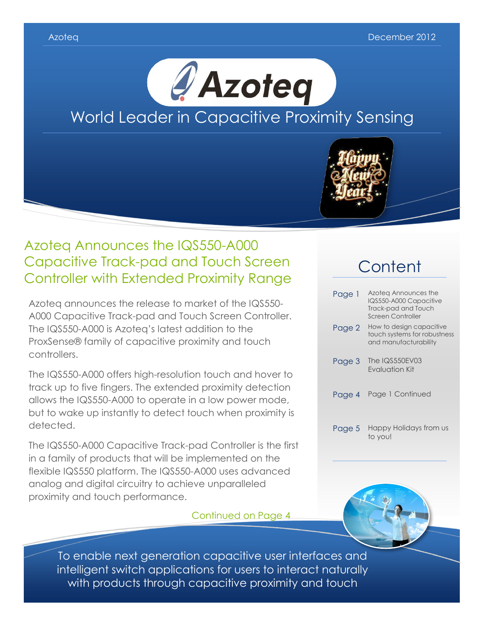



# Azoteq Announces the IQS550-A000 Capacitive Track-pad and Touch Screen Controller with Extended Proximity Range

Azoteq announces the release to market of the IQS550- A000 Capacitive Track-pad and Touch Screen Controller. The IQS550-A000 is Azoteq's latest addition to the ProxSense® family of capacitive proximity and touch controllers.

The IQS550-A000 offers high-resolution touch and hover to track up to five fingers. The extended proximity detection allows the IQS550-A000 to operate in a low power mode, but to wake up instantly to detect touch when proximity is detected.

The IQS550-A000 Capacitive Track-pad Controller is the first in a family of products that will be implemented on the flexible IQS550 platform. The IQS550-A000 uses advanced analog and digital circuitry to achieve unparalleled proximity and touch performance.

## Continued on Page 4

# **Content**

| Page 1 | Azoteg Announces the<br>IQS550-A000 Capacitive<br>Track-pad and Touch<br>Screen Controller |
|--------|--------------------------------------------------------------------------------------------|
| Page 2 | How to design capacitive<br>touch systems for robustness<br>and manufacturability          |
| Page 3 | The IQS550EV03<br>Fvaluation Kit                                                           |
| Page 4 | Page 1 Continued                                                                           |
| Page 5 | Happy Holidays from us<br>to you!                                                          |



To enable next generation capacitive user interfaces and intelligent switch applications for users to interact naturally with products through capacitive proximity and touch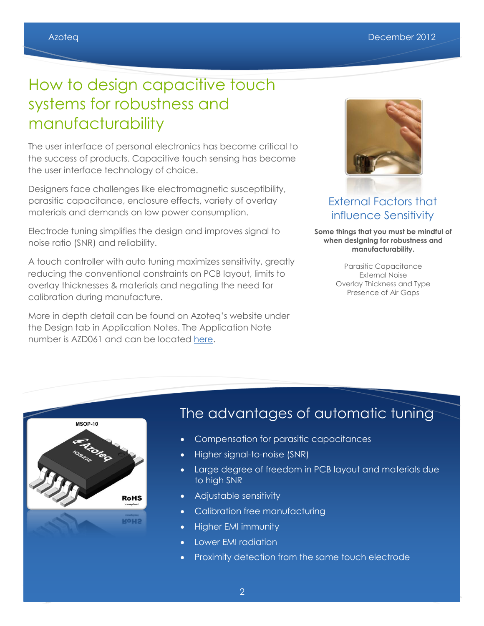# How to design capacitive touch systems for robustness and manufacturability

The user interface of personal electronics has become critical to the success of products. Capacitive touch sensing has become the user interface technology of choice.

Designers face challenges like electromagnetic susceptibility, parasitic capacitance, enclosure effects, variety of overlay materials and demands on low power consumption.

Electrode tuning simplifies the design and improves signal to noise ratio (SNR) and reliability.

A touch controller with auto tuning maximizes sensitivity, greatly reducing the conventional constraints on PCB layout, limits to overlay thicknesses & materials and negating the need for calibration during manufacture.

More in depth detail can be found on Azoteq's website under the Design tab in Application Notes. The Application Note number is AZD061 and can be located [here.](http://www.azoteq.com/images/stories/pdf/azd061_azoteq_auto_tuning_article.pdf)



## External Factors that influence Sensitivity

**Some things that you must be mindful of when designing for robustness and manufacturability.** 

> Parasitic Capacitance External Noise Overlay Thickness and Type Presence of Air Gaps



# The advantages of automatic tuning

- Compensation for parasitic capacitances
- Higher signal-to-noise (SNR)
- Large degree of freedom in PCB layout and materials due to high SNR
- Adjustable sensitivity
- Calibration free manufacturing
- Higher EMI immunity
- Lower EMI radiation
- Proximity detection from the same touch electrode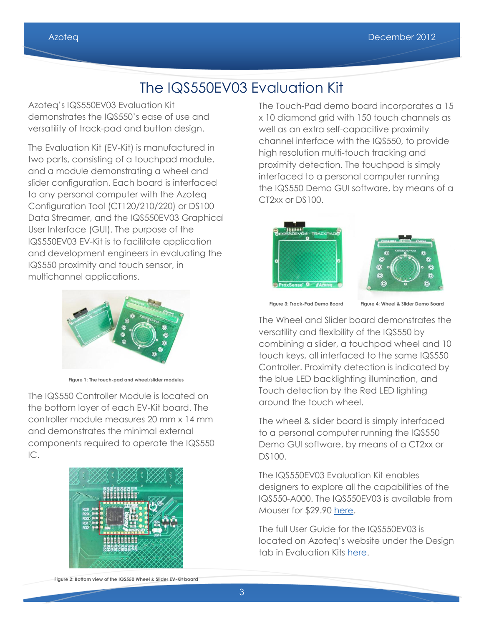# The IQS550EV03 Evaluation Kit

Azoteq's IQS550EV03 Evaluation Kit demonstrates the IQS550's ease of use and versatility of track-pad and button design.

The Evaluation Kit (EV-Kit) is manufactured in two parts, consisting of a touchpad module, and a module demonstrating a wheel and slider configuration. Each board is interfaced to any personal computer with the Azoteq Configuration Tool (CT120/210/220) or DS100 Data Streamer, and the IQS550EV03 Graphical User Interface (GUI). The purpose of the IQS550EV03 EV-Kit is to facilitate application and development engineers in evaluating the IQS550 proximity and touch sensor, in multichannel applications.



**Figure 1: The touch-pad and wheel/slider modules**

The IQS550 Controller Module is located on the bottom layer of each EV-Kit board. The controller module measures 20 mm x 14 mm and demonstrates the minimal external components required to operate the IQS550 IC.



The Touch-Pad demo board incorporates a 15 x 10 diamond grid with 150 touch channels as well as an extra self-capacitive proximity channel interface with the IQS550, to provide high resolution multi-touch tracking and proximity detection. The touchpad is simply interfaced to a personal computer running the IQS550 Demo GUI software, by means of a CT2xx or DS100.





 **Figure 3: Track-Pad Demo Board Figure 4: Wheel & Slider Demo Board**

The Wheel and Slider board demonstrates the versatility and flexibility of the IQS550 by combining a slider, a touchpad wheel and 10 touch keys, all interfaced to the same IQS550 Controller. Proximity detection is indicated by the blue LED backlighting illumination, and Touch detection by the Red LED lighting around the touch wheel.

The wheel & slider board is simply interfaced to a personal computer running the IQS550 Demo GUI software, by means of a CT2xx or DS100.

The IQS550EV03 Evaluation Kit enables designers to explore all the capabilities of the IQS550-A000. The IQS550EV03 is available from Mouser for \$29.90 [here.](http://www.mouser.com/ProductDetail/Azoteq/IQS550EV03-S/?qs=sGAEpiMZZMs8fmn5dxfQMy381zxgRIQ8)

The full User Guide for the IQS550EV03 is located on Azoteq's website under the Design tab in Evaluation Kits [here.](http://www.azoteq.com/images/stories/pdf/iqs550ev03.pdf)

**Figure 2: Bottom view of the IQS550 Wheel & Slider EV-Kit board**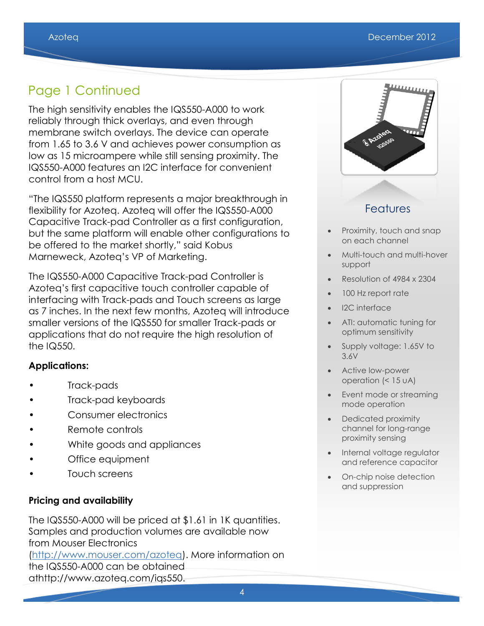# Page 1 Continued

The high sensitivity enables the IQS550-A000 to work reliably through thick overlays, and even through membrane switch overlays. The device can operate from 1.65 to 3.6 V and achieves power consumption as low as 15 microampere while still sensing proximity. The IQS550-A000 features an I2C interface for convenient control from a host MCU.

"The IQS550 platform represents a major breakthrough in flexibility for Azoteq. Azoteq will offer the IQS550-A000 Capacitive Track-pad Controller as a first configuration, but the same platform will enable other configurations to be offered to the market shortly," said Kobus Marneweck, Azoteq's VP of Marketing.

The IQS550-A000 Capacitive Track-pad Controller is Azoteq's first capacitive touch controller capable of interfacing with Track-pads and Touch screens as large as 7 inches. In the next few months, Azoteq will introduce smaller versions of the IQS550 for smaller Track-pads or applications that do not require the high resolution of the IQ550.

## **Applications:**

- Track-pads
- Track-pad keyboards
- Consumer electronics
- Remote controls
- White goods and appliances
- Office equipment
- Touch screens

## **Pricing and availability**

The IQS550-A000 will be priced at \$1.61 in 1K quantities. Samples and production volumes are available now from Mouser Electronics [\(http://www.mouser.com/azoteq\)](http://www.mouser.com/azoteq). More information on the IQS550-A000 can be obtained

athttp://www.azoteq.com/iqs550.



## Features

- Proximity, touch and snap on each channel
- Multi-touch and multi-hover support
- Resolution of 4984 x 2304
- 100 Hz report rate
- I2C interface
- ATI: automatic tuning for optimum sensitivity
- Supply voltage: 1.65V to 3.6V
- Active low-power operation (< 15 uA)
- Event mode or streaming mode operation
- Dedicated proximity channel for long-range proximity sensing
- Internal voltage regulator and reference capacitor
- On-chip noise detection and suppression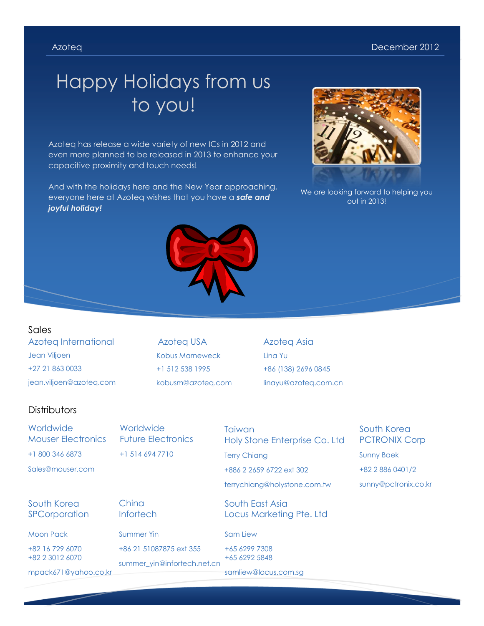#### Azoteq December 2012

# Happy Holidays from us to you!

Azoteq has release a wide variety of new ICs in 2012 and even more planned to be released in 2013 to enhance your capacitive proximity and touch needs!

And with the holidays here and the New Year approaching, everyone here at Azoteq wishes that you have a *safe and joyful holiday!*

Ī





We are looking forward to helping you out in 2013!

Azoteq International Jean Viljoen +27 21 863 0033 jean.viljoen@azoteq.com Sales

Azoteq USA Kobus Marneweck +1 512 538 1995 kobusm@azoteq.com Azoteq Asia Lina Yu +86 (138) 2696 0845 linayu@azoteq.com.cn

### **Distributors**

**Worldwide** Mouser Electronics +1 800 346 6873 Sales@mouser.com

**Worldwide** Future Electronics +1 514 694 7710

**Taiwan** Holy Stone Enterprise Co. Ltd

Terry Chiang +886 2 2659 6722 ext 302

terrychiang@holystone.com.tw

South East Asia Locus Marketing Pte. Ltd

#### Sam Liew

+65 6299 7308 +65 6292 5848

samliew@locus.com.sg

South Korea PCTRONIX Corp Sunny Baek +82 2 886 0401/2 sunny@pctronix.co.kr

## South Korea **SPCorporation**

Moon Pack

+82 16 729 6070 +82 2 3012 6070

mpack671@yahoo.co.kr

**China Infortech** 

Summer Yin +86 21 51087875 ext 355

summer\_yin@infortech.net.cn